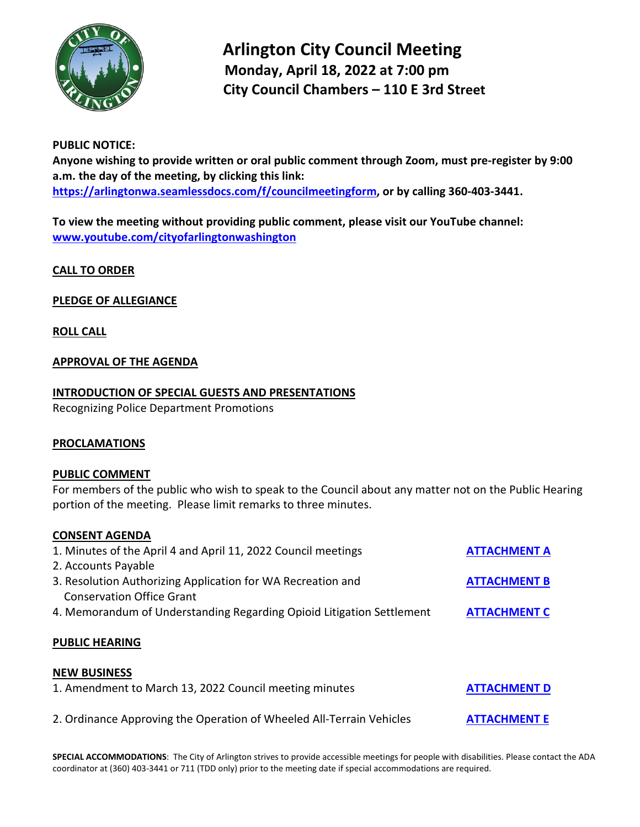

 **Arlington City Council Meeting Monday, April 18, 2022 at 7:00 pm City Council Chambers – 110 E 3rd Street** 

## **PUBLIC NOTICE:**

**Anyone wishing to provide written or oral public comment through Zoom, must pre-register by 9:00 a.m. the day of the meeting, by clicking this link: [https://arlingtonwa.seamlessdocs.com/f/councilmeetingform,](https://arlingtonwa.seamlessdocs.com/f/councilmeetingform) or by calling 360-403-3441.**

**To view the meeting without providing public comment, please visit our YouTube channel: [www.youtube.com/cityofarlingtonwashington](http://www.youtube.com/cityofarlingtonwashington)**

**CALL TO ORDER**

**PLEDGE OF ALLEGIANCE**

**ROLL CALL**

# **APPROVAL OF THE AGENDA**

# **INTRODUCTION OF SPECIAL GUESTS AND PRESENTATIONS**

Recognizing Police Department Promotions

# **PROCLAMATIONS**

## **PUBLIC COMMENT**

For members of the public who wish to speak to the Council about any matter not on the Public Hearing portion of the meeting. Please limit remarks to three minutes.

## **CONSENT AGENDA**

| 1. Minutes of the April 4 and April 11, 2022 Council meetings<br>2. Accounts Payable            | <b>ATTACHMENT A</b> |
|-------------------------------------------------------------------------------------------------|---------------------|
| 3. Resolution Authorizing Application for WA Recreation and<br><b>Conservation Office Grant</b> | <b>ATTACHMENT B</b> |
| 4. Memorandum of Understanding Regarding Opioid Litigation Settlement                           | <b>ATTACHMENT C</b> |
| <b>PUBLIC HEARING</b>                                                                           |                     |
| <b>NEW BUSINESS</b>                                                                             |                     |
| 1. Amendment to March 13, 2022 Council meeting minutes                                          | <b>ATTACHMENT D</b> |
| 2. Ordinance Approving the Operation of Wheeled All-Terrain Vehicles                            | <b>ATTACHMENT E</b> |

**SPECIAL ACCOMMODATIONS**: The City of Arlington strives to provide accessible meetings for people with disabilities. Please contact the ADA coordinator at (360) 403-3441 or 711 (TDD only) prior to the meeting date if special accommodations are required.